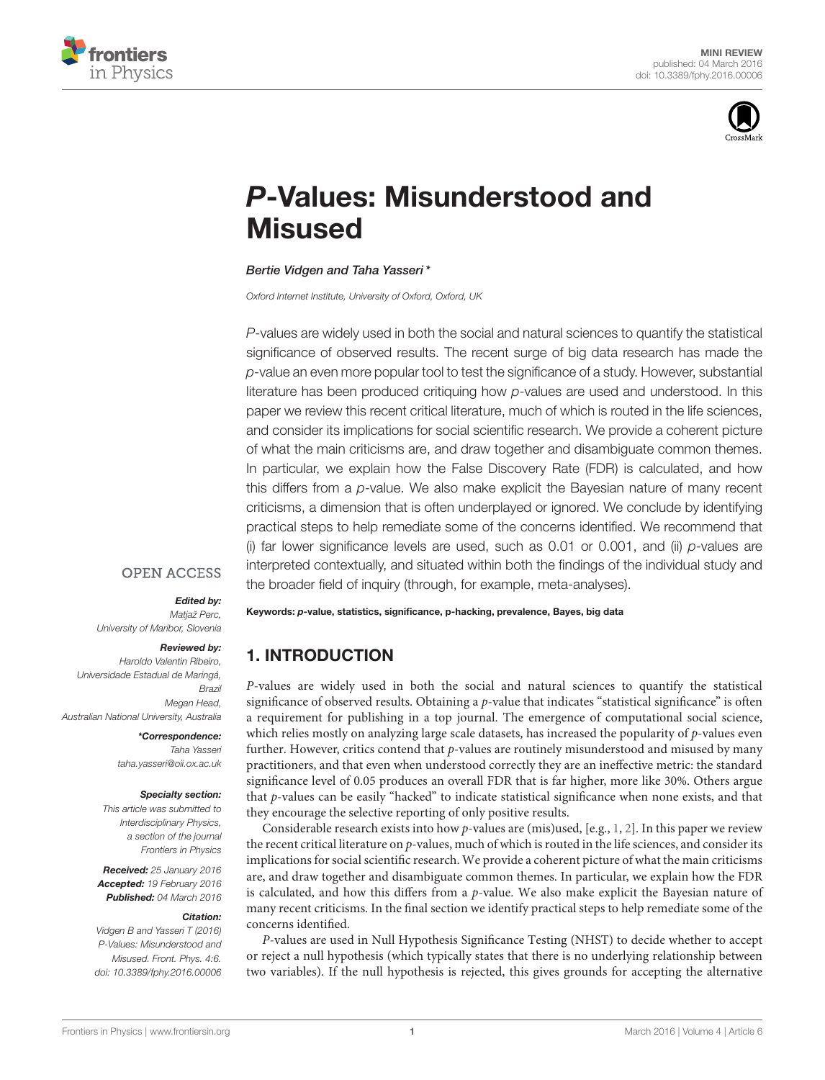



# P[-Values: Misunderstood and](http://journal.frontiersin.org/article/10.3389/fphy.2016.00006/abstract) **Misused**

### [Bertie Vidgen](http://loop.frontiersin.org/people/319501/overview) and [Taha Yasseri\\*](http://loop.frontiersin.org/people/75273/overview)

Oxford Internet Institute, University of Oxford, Oxford, UK

P-values are widely used in both the social and natural sciences to quantify the statistical significance of observed results. The recent surge of big data research has made the p-value an even more popular tool to test the significance of a study. However, substantial literature has been produced critiquing how p-values are used and understood. In this paper we review this recent critical literature, much of which is routed in the life sciences, and consider its implications for social scientific research. We provide a coherent picture of what the main criticisms are, and draw together and disambiguate common themes. In particular, we explain how the False Discovery Rate (FDR) is calculated, and how this differs from a p-value. We also make explicit the Bayesian nature of many recent criticisms, a dimension that is often underplayed or ignored. We conclude by identifying practical steps to help remediate some of the concerns identified. We recommend that (i) far lower significance levels are used, such as  $0.01$  or  $0.001$ , and (ii)  $p$ -values are interpreted contextually, and situated within both the findings of the individual study and the broader field of inquiry (through, for example, meta-analyses).

### **OPEN ACCESS**

### Edited by:

Matjaž Perc, University of Maribor, Slovenia

#### Reviewed by:

Haroldo Valentin Ribeiro, Universidade Estadual de Maringá, Brazil Megan Head, Australian National University, Australia

### \*Correspondence: Taha Yasseri

[taha.yasseri@oii.ox.ac.uk](mailto:taha.yasseri@oii.ox.ac.uk)

### Specialty section:

This article was submitted to Interdisciplinary Physics, a section of the journal Frontiers in Physics

Received: 25 January 2016 Accepted: 19 February 2016 Published: 04 March 2016

#### Citation:

Vidgen B and Yasseri T (2016) P-Values: Misunderstood and Misused. Front. Phys. 4:6. doi: [10.3389/fphy.2016.00006](http://dx.doi.org/10.3389/fphy.2016.00006) Keywords: p-value, statistics, significance, p-hacking, prevalence, Bayes, big data

# 1. INTRODUCTION

P-values are widely used in both the social and natural sciences to quantify the statistical significance of observed results. Obtaining a p-value that indicates "statistical significance" is often a requirement for publishing in a top journal. The emergence of computational social science, which relies mostly on analyzing large scale datasets, has increased the popularity of  $p$ -values even further. However, critics contend that  $p$ -values are routinely misunderstood and misused by many practitioners, and that even when understood correctly they are an ineffective metric: the standard significance level of 0.05 produces an overall FDR that is far higher, more like 30%. Others argue that p-values can be easily "hacked" to indicate statistical significance when none exists, and that they encourage the selective reporting of only positive results.

Considerable research exists into how p-values are (mis)used, [e.g., [1,](#page-4-0) [2\]](#page-4-1). In this paper we review the recent critical literature on p-values, much of which is routed in the life sciences, and consider its implications for social scientific research. We provide a coherent picture of what the main criticisms are, and draw together and disambiguate common themes. In particular, we explain how the FDR is calculated, and how this differs from a  $p$ -value. We also make explicit the Bayesian nature of many recent criticisms. In the final section we identify practical steps to help remediate some of the concerns identified.

P-values are used in Null Hypothesis Significance Testing (NHST) to decide whether to accept or reject a null hypothesis (which typically states that there is no underlying relationship between two variables). If the null hypothesis is rejected, this gives grounds for accepting the alternative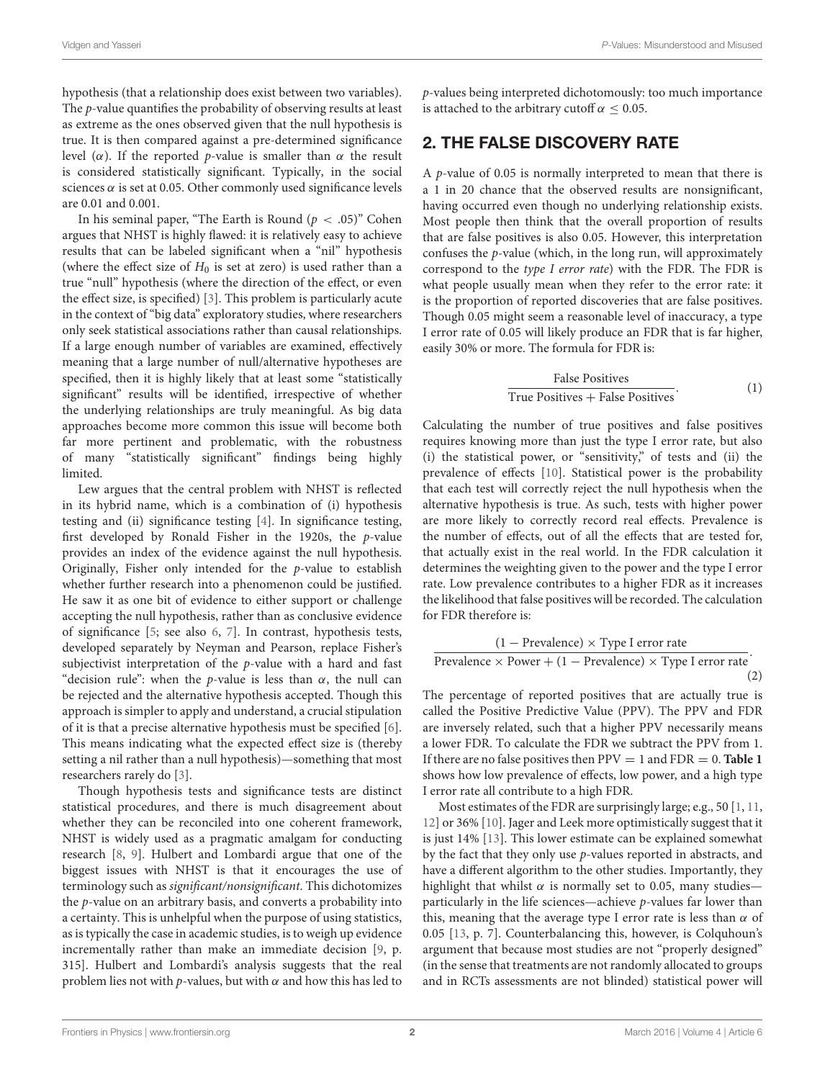hypothesis (that a relationship does exist between two variables). The p-value quantifies the probability of observing results at least as extreme as the ones observed given that the null hypothesis is true. It is then compared against a pre-determined significance level (α). If the reported p-value is smaller than α the result is considered statistically significant. Typically, in the social sciences  $\alpha$  is set at 0.05. Other commonly used significance levels are 0.01 and 0.001.

In his seminal paper, "The Earth is Round  $(p < .05)$ " Cohen argues that NHST is highly flawed: it is relatively easy to achieve results that can be labeled significant when a "nil" hypothesis (where the effect size of  $H_0$  is set at zero) is used rather than a true "null" hypothesis (where the direction of the effect, or even the effect size, is specified) [\[3\]](#page-4-2). This problem is particularly acute in the context of "big data" exploratory studies, where researchers only seek statistical associations rather than causal relationships. If a large enough number of variables are examined, effectively meaning that a large number of null/alternative hypotheses are specified, then it is highly likely that at least some "statistically significant" results will be identified, irrespective of whether the underlying relationships are truly meaningful. As big data approaches become more common this issue will become both far more pertinent and problematic, with the robustness of many "statistically significant" findings being highly limited.

Lew argues that the central problem with NHST is reflected in its hybrid name, which is a combination of (i) hypothesis testing and (ii) significance testing [\[4\]](#page-4-3). In significance testing, first developed by Ronald Fisher in the 1920s, the p-value provides an index of the evidence against the null hypothesis. Originally, Fisher only intended for the p-value to establish whether further research into a phenomenon could be justified. He saw it as one bit of evidence to either support or challenge accepting the null hypothesis, rather than as conclusive evidence of significance [\[5;](#page-4-4) see also [6,](#page-4-5) [7\]](#page-4-6). In contrast, hypothesis tests, developed separately by Neyman and Pearson, replace Fisher's subjectivist interpretation of the p-value with a hard and fast "decision rule": when the *p*-value is less than  $\alpha$ , the null can be rejected and the alternative hypothesis accepted. Though this approach is simpler to apply and understand, a crucial stipulation of it is that a precise alternative hypothesis must be specified [\[6\]](#page-4-5). This means indicating what the expected effect size is (thereby setting a nil rather than a null hypothesis)—something that most researchers rarely do [\[3\]](#page-4-2).

Though hypothesis tests and significance tests are distinct statistical procedures, and there is much disagreement about whether they can be reconciled into one coherent framework, NHST is widely used as a pragmatic amalgam for conducting research [\[8,](#page-4-7) [9\]](#page-4-8). Hulbert and Lombardi argue that one of the biggest issues with NHST is that it encourages the use of terminology such as significant/nonsignificant. This dichotomizes the p-value on an arbitrary basis, and converts a probability into a certainty. This is unhelpful when the purpose of using statistics, as is typically the case in academic studies, is to weigh up evidence incrementally rather than make an immediate decision [\[9,](#page-4-8) p. 315]. Hulbert and Lombardi's analysis suggests that the real problem lies not with  $p$ -values, but with  $\alpha$  and how this has led to p-values being interpreted dichotomously: too much importance is attached to the arbitrary cutoff  $\alpha$  < 0.05.

# <span id="page-1-0"></span>2. THE FALSE DISCOVERY RATE

A  $p$ -value of 0.05 is normally interpreted to mean that there is a 1 in 20 chance that the observed results are nonsignificant, having occurred even though no underlying relationship exists. Most people then think that the overall proportion of results that are false positives is also 0.05. However, this interpretation confuses the  $p$ -value (which, in the long run, will approximately correspond to the type I error rate) with the FDR. The FDR is what people usually mean when they refer to the error rate: it is the proportion of reported discoveries that are false positives. Though 0.05 might seem a reasonable level of inaccuracy, a type I error rate of 0.05 will likely produce an FDR that is far higher, easily 30% or more. The formula for FDR is:

False Positives True Positives <sup>+</sup> False Positives. (1)

Calculating the number of true positives and false positives requires knowing more than just the type I error rate, but also (i) the statistical power, or "sensitivity," of tests and (ii) the prevalence of effects [\[10\]](#page-4-9). Statistical power is the probability that each test will correctly reject the null hypothesis when the alternative hypothesis is true. As such, tests with higher power are more likely to correctly record real effects. Prevalence is the number of effects, out of all the effects that are tested for, that actually exist in the real world. In the FDR calculation it determines the weighting given to the power and the type I error rate. Low prevalence contributes to a higher FDR as it increases the likelihood that false positives will be recorded. The calculation for FDR therefore is:

$$
\frac{(1 - \text{Prevalence}) \times \text{Type I error rate}}{\text{Prevalence} \times \text{Power} + (1 - \text{Prevalence}) \times \text{Type I error rate}}.
$$
\n(2)

The percentage of reported positives that are actually true is called the Positive Predictive Value (PPV). The PPV and FDR are inversely related, such that a higher PPV necessarily means a lower FDR. To calculate the FDR we subtract the PPV from 1. If there are no false positives then  $PPV = 1$  and  $FDR = 0$ . **[Table 1](#page-2-0)** shows how low prevalence of effects, low power, and a high type I error rate all contribute to a high FDR.

Most estimates of the FDR are surprisingly large; e.g., 50 [\[1,](#page-4-0) [11,](#page-4-10) [12\]](#page-4-11) or 36% [\[10\]](#page-4-9). Jager and Leek more optimistically suggest that it is just 14% [\[13\]](#page-4-12). This lower estimate can be explained somewhat by the fact that they only use  $p$ -values reported in abstracts, and have a different algorithm to the other studies. Importantly, they highlight that whilst  $\alpha$  is normally set to 0.05, many studies particularly in the life sciences—achieve p-values far lower than this, meaning that the average type I error rate is less than  $\alpha$  of 0.05 [\[13,](#page-4-12) p. 7]. Counterbalancing this, however, is Colquhoun's argument that because most studies are not "properly designed" (in the sense that treatments are not randomly allocated to groups and in RCTs assessments are not blinded) statistical power will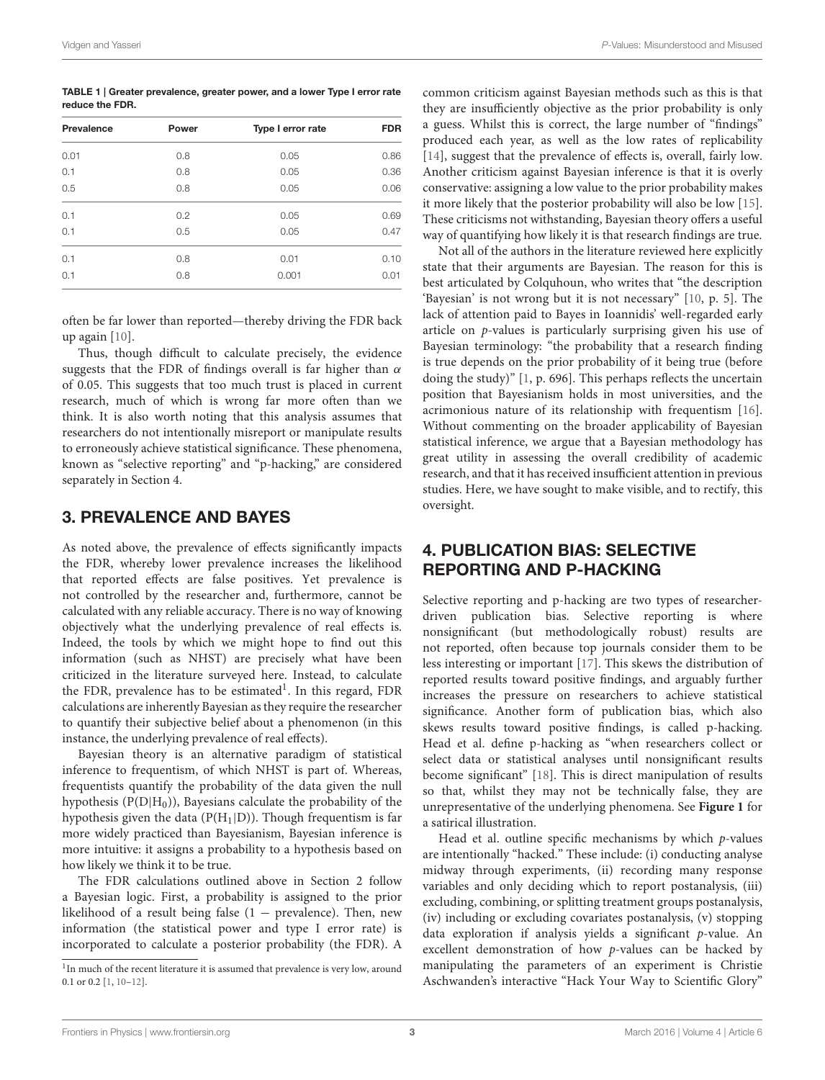<span id="page-2-0"></span>TABLE 1 | Greater prevalence, greater power, and a lower Type I error rate reduce the FDR.

| Prevalence | Power | Type I error rate | <b>FDR</b> |
|------------|-------|-------------------|------------|
| 0.01       | 0.8   | 0.05              | 0.86       |
| 0.1        | 0.8   | 0.05              | 0.36       |
| 0.5        | 0.8   | 0.05              | 0.06       |
| 0.1        | 0.2   | 0.05              | 0.69       |
| 0.1        | 0.5   | 0.05              | 0.47       |
| 0.1        | 0.8   | 0.01              | 0.10       |
| 0.1        | 0.8   | 0.001             | 0.01       |
|            |       |                   |            |

often be far lower than reported—thereby driving the FDR back up again [\[10\]](#page-4-9).

Thus, though difficult to calculate precisely, the evidence suggests that the FDR of findings overall is far higher than  $\alpha$ of 0.05. This suggests that too much trust is placed in current research, much of which is wrong far more often than we think. It is also worth noting that this analysis assumes that researchers do not intentionally misreport or manipulate results to erroneously achieve statistical significance. These phenomena, known as "selective reporting" and "p-hacking," are considered separately in Section [4.](#page-2-1)

## 3. PREVALENCE AND BAYES

As noted above, the prevalence of effects significantly impacts the FDR, whereby lower prevalence increases the likelihood that reported effects are false positives. Yet prevalence is not controlled by the researcher and, furthermore, cannot be calculated with any reliable accuracy. There is no way of knowing objectively what the underlying prevalence of real effects is. Indeed, the tools by which we might hope to find out this information (such as NHST) are precisely what have been criticized in the literature surveyed here. Instead, to calculate the FDR, prevalence has to be estimated<sup>[1](#page-2-2)</sup>. In this regard, FDR calculations are inherently Bayesian as they require the researcher to quantify their subjective belief about a phenomenon (in this instance, the underlying prevalence of real effects).

Bayesian theory is an alternative paradigm of statistical inference to frequentism, of which NHST is part of. Whereas, frequentists quantify the probability of the data given the null hypothesis  $(P(D|H_0))$ , Bayesians calculate the probability of the hypothesis given the data ( $P(H_1|D)$ ). Though frequentism is far more widely practiced than Bayesianism, Bayesian inference is more intuitive: it assigns a probability to a hypothesis based on how likely we think it to be true.

The FDR calculations outlined above in Section [2](#page-1-0) follow a Bayesian logic. First, a probability is assigned to the prior likelihood of a result being false  $(1 -$  prevalence). Then, new information (the statistical power and type I error rate) is incorporated to calculate a posterior probability (the FDR). A common criticism against Bayesian methods such as this is that they are insufficiently objective as the prior probability is only a guess. Whilst this is correct, the large number of "findings" produced each year, as well as the low rates of replicability [\[14\]](#page-4-13), suggest that the prevalence of effects is, overall, fairly low. Another criticism against Bayesian inference is that it is overly conservative: assigning a low value to the prior probability makes it more likely that the posterior probability will also be low [\[15\]](#page-4-14). These criticisms not withstanding, Bayesian theory offers a useful way of quantifying how likely it is that research findings are true.

Not all of the authors in the literature reviewed here explicitly state that their arguments are Bayesian. The reason for this is best articulated by Colquhoun, who writes that "the description 'Bayesian' is not wrong but it is not necessary" [\[10,](#page-4-9) p. 5]. The lack of attention paid to Bayes in Ioannidis' well-regarded early article on p-values is particularly surprising given his use of Bayesian terminology: "the probability that a research finding is true depends on the prior probability of it being true (before doing the study)" [\[1,](#page-4-0) p. 696]. This perhaps reflects the uncertain position that Bayesianism holds in most universities, and the acrimonious nature of its relationship with frequentism [\[16\]](#page-4-15). Without commenting on the broader applicability of Bayesian statistical inference, we argue that a Bayesian methodology has great utility in assessing the overall credibility of academic research, and that it has received insufficient attention in previous studies. Here, we have sought to make visible, and to rectify, this oversight.

# <span id="page-2-1"></span>4. PUBLICATION BIAS: SELECTIVE REPORTING AND P-HACKING

Selective reporting and p-hacking are two types of researcherdriven publication bias. Selective reporting is where nonsignificant (but methodologically robust) results are not reported, often because top journals consider them to be less interesting or important [\[17\]](#page-4-16). This skews the distribution of reported results toward positive findings, and arguably further increases the pressure on researchers to achieve statistical significance. Another form of publication bias, which also skews results toward positive findings, is called p-hacking. Head et al. define p-hacking as "when researchers collect or select data or statistical analyses until nonsignificant results become significant" [\[18\]](#page-4-17). This is direct manipulation of results so that, whilst they may not be technically false, they are unrepresentative of the underlying phenomena. See **[Figure 1](#page-3-0)** for a satirical illustration.

Head et al. outline specific mechanisms by which p-values are intentionally "hacked." These include: (i) conducting analyse midway through experiments, (ii) recording many response variables and only deciding which to report postanalysis, (iii) excluding, combining, or splitting treatment groups postanalysis, (iv) including or excluding covariates postanalysis, (v) stopping data exploration if analysis yields a significant p-value. An excellent demonstration of how p-values can be hacked by manipulating the parameters of an experiment is Christie Aschwanden's interactive "Hack Your Way to Scientific Glory"

<span id="page-2-2"></span><sup>&</sup>lt;sup>1</sup>In much of the recent literature it is assumed that prevalence is very low, around 0.1 or 0.2 [\[1,](#page-4-0) [10–](#page-4-9)[12\]](#page-4-11).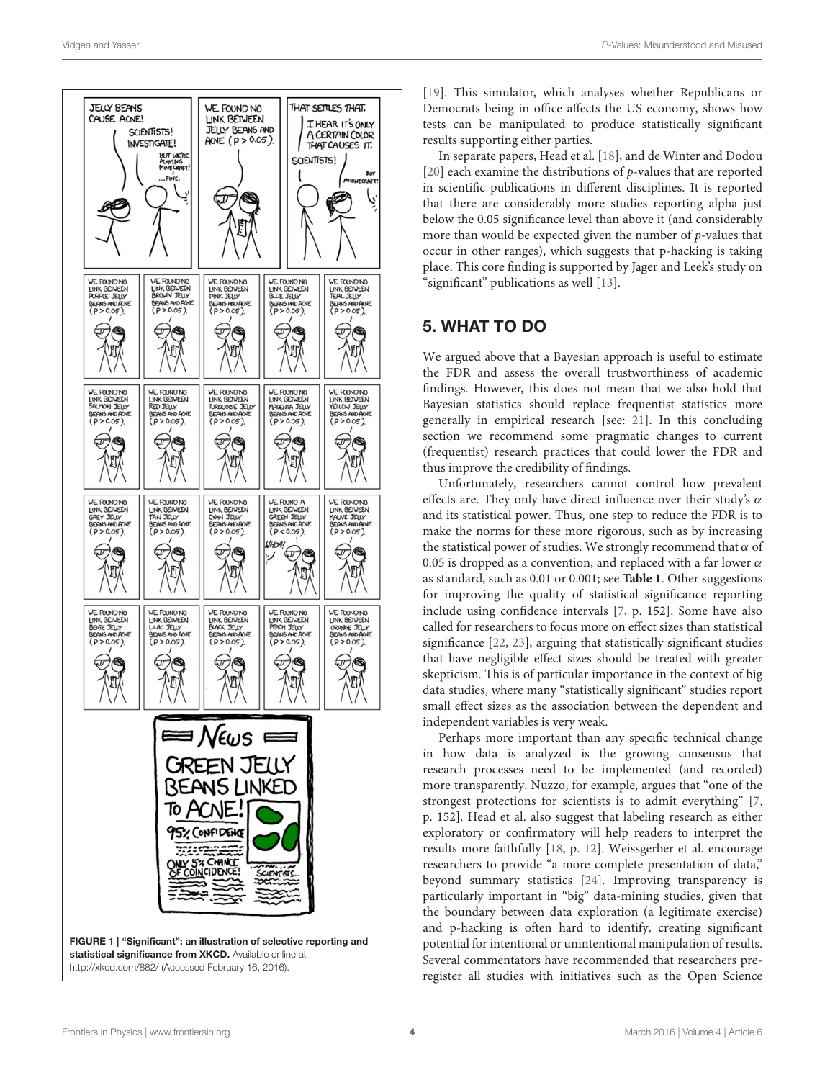

[\[19\]](#page-4-18). This simulator, which analyses whether Republicans or Democrats being in office affects the US economy, shows how tests can be manipulated to produce statistically significant results supporting either parties.

In separate papers, Head et al. [\[18\]](#page-4-17), and de Winter and Dodou [\[20\]](#page-4-19) each examine the distributions of p-values that are reported in scientific publications in different disciplines. It is reported that there are considerably more studies reporting alpha just below the 0.05 significance level than above it (and considerably more than would be expected given the number of  $p$ -values that occur in other ranges), which suggests that p-hacking is taking place. This core finding is supported by Jager and Leek's study on "significant" publications as well [\[13\]](#page-4-12).

## 5. WHAT TO DO

We argued above that a Bayesian approach is useful to estimate the FDR and assess the overall trustworthiness of academic findings. However, this does not mean that we also hold that Bayesian statistics should replace frequentist statistics more generally in empirical research [see: [21\]](#page-4-20). In this concluding section we recommend some pragmatic changes to current (frequentist) research practices that could lower the FDR and thus improve the credibility of findings.

Unfortunately, researchers cannot control how prevalent effects are. They only have direct influence over their study's  $\alpha$ and its statistical power. Thus, one step to reduce the FDR is to make the norms for these more rigorous, such as by increasing the statistical power of studies. We strongly recommend that  $\alpha$  of 0.05 is dropped as a convention, and replaced with a far lower  $\alpha$ as standard, such as 0.01 or 0.001; see **[Table 1](#page-2-0)**. Other suggestions for improving the quality of statistical significance reporting include using confidence intervals [\[7,](#page-4-6) p. 152]. Some have also called for researchers to focus more on effect sizes than statistical significance [\[22,](#page-4-21) [23\]](#page-4-22), arguing that statistically significant studies that have negligible effect sizes should be treated with greater skepticism. This is of particular importance in the context of big data studies, where many "statistically significant" studies report small effect sizes as the association between the dependent and independent variables is very weak.

<span id="page-3-0"></span>Perhaps more important than any specific technical change in how data is analyzed is the growing consensus that research processes need to be implemented (and recorded) more transparently. Nuzzo, for example, argues that "one of the strongest protections for scientists is to admit everything" [\[7,](#page-4-6) p. 152]. Head et al. also suggest that labeling research as either exploratory or confirmatory will help readers to interpret the results more faithfully [\[18,](#page-4-17) p. 12]. Weissgerber et al. encourage researchers to provide "a more complete presentation of data," beyond summary statistics [\[24\]](#page-4-23). Improving transparency is particularly important in "big" data-mining studies, given that the boundary between data exploration (a legitimate exercise) and p-hacking is often hard to identify, creating significant potential for intentional or unintentional manipulation of results. Several commentators have recommended that researchers preregister all studies with initiatives such as the Open Science